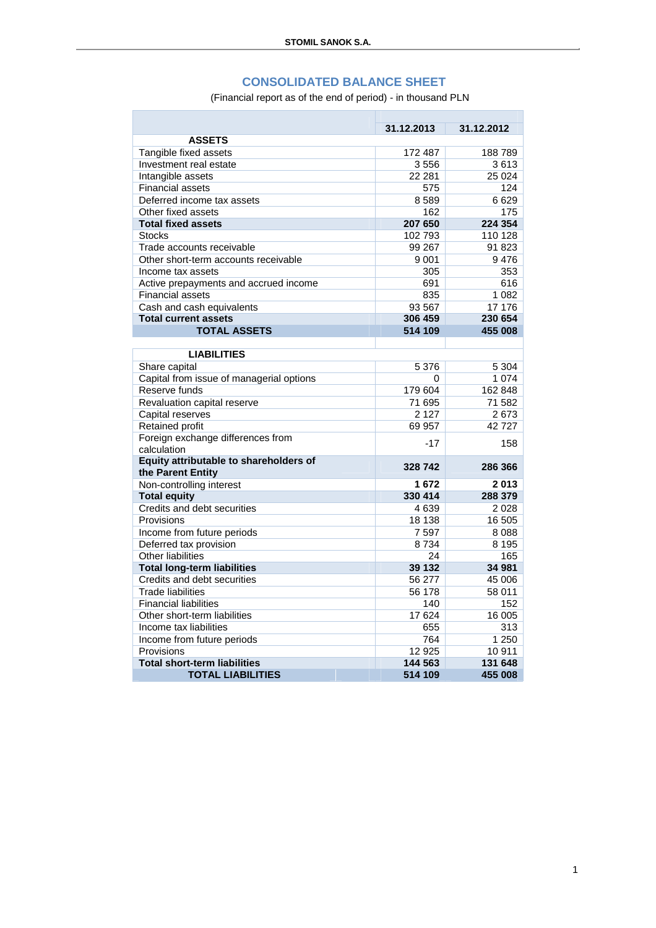## **CONSOLIDATED BALANCE SHEET**

(Financial report as of the end of period) - in thousand PLN

|                                          | 31.12.2013 | 31.12.2012     |
|------------------------------------------|------------|----------------|
| <b>ASSETS</b>                            |            |                |
| Tangible fixed assets                    | 172 487    | 188789         |
| Investment real estate                   | 3556       | 3613           |
| Intangible assets                        | 22 281     | 25 0 24        |
| <b>Financial assets</b>                  |            | 124<br>575     |
| Deferred income tax assets               | 8589       | 6629           |
| Other fixed assets                       |            | 162<br>175     |
| <b>Total fixed assets</b>                | 207 650    | 224 354        |
| <b>Stocks</b>                            | 102793     | 110 128        |
| Trade accounts receivable                | 99 267     | 91 823         |
| Other short-term accounts receivable     | 9 0 0 1    | 9476           |
| Income tax assets                        |            | 305<br>353     |
| Active prepayments and accrued income    |            | 691<br>616     |
| <b>Financial assets</b>                  |            | 835<br>1 0 8 2 |
| Cash and cash equivalents                | 93 567     | 17 176         |
| <b>Total current assets</b>              | 306 459    | 230 654        |
| <b>TOTAL ASSETS</b>                      | 514 109    | 455 008        |
|                                          |            |                |
| <b>LIABILITIES</b>                       |            |                |
| Share capital                            | 5 3 7 6    | 5 3 0 4        |
| Capital from issue of managerial options |            | 1 0 7 4<br>0   |
| Reserve funds                            | 179 604    | 162 848        |
| Revaluation capital reserve              | 71 695     | 71 582         |
| Capital reserves                         | 2 1 2 7    | 2673           |
| Retained profit                          | 69 957     | 42727          |
| Foreign exchange differences from        |            | $-17$<br>158   |
| calculation                              |            |                |
| Equity attributable to shareholders of   | 328 742    | 286 366        |
| the Parent Entity                        |            |                |
| Non-controlling interest                 | 1672       | 2013           |
| <b>Total equity</b>                      | 330 414    | 288 379        |
| Credits and debt securities              | 4639       | 2028           |
| Provisions                               | 18 138     | 16 505         |
| Income from future periods               | 7597       | 8 0 8 8        |
| Deferred tax provision                   | 8734       | 8 1 9 5        |
| <b>Other liabilities</b>                 |            | 24<br>165      |
| <b>Total long-term liabilities</b>       | 39 132     | 34 981         |
| Credits and debt securities              | 56 277     | 45 006         |
| <b>Trade liabilities</b>                 | 56 178     | 58 011         |
| <b>Financial liabilities</b>             |            | 140<br>152     |
| Other short-term liabilities             | 17624      | 16 005         |
| Income tax liabilities                   |            | 655<br>313     |
| Income from future periods               |            | 764<br>1 2 5 0 |
| Provisions                               | 12 9 25    | 10 911         |
| <b>Total short-term liabilities</b>      | 144 563    | 131 648        |
| <b>TOTAL LIABILITIES</b>                 | 514 109    | 455 008        |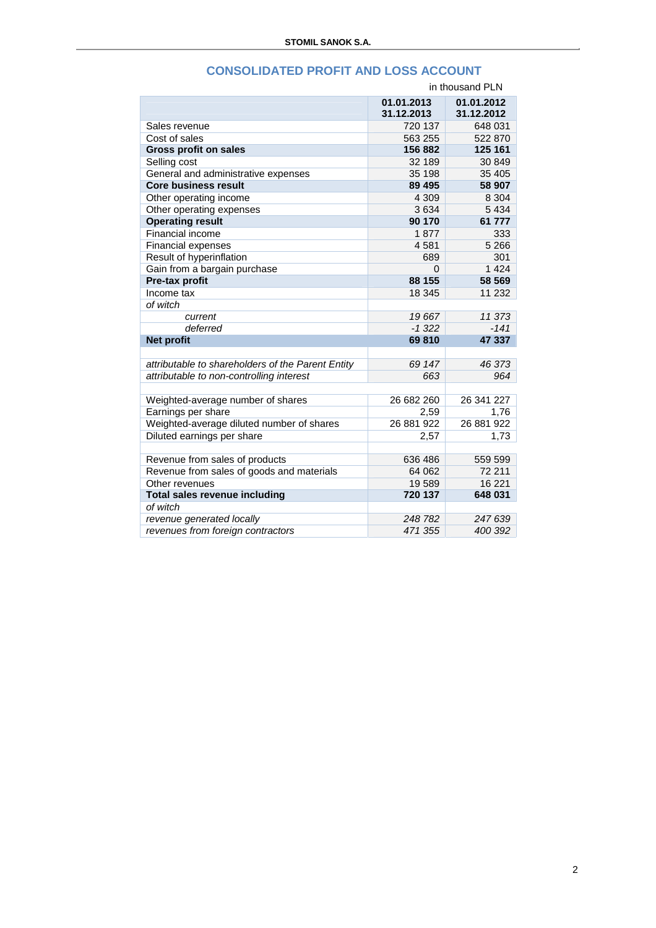|                                                             | in thousand PLN          |                          |  |
|-------------------------------------------------------------|--------------------------|--------------------------|--|
|                                                             | 01.01.2013<br>31.12.2013 | 01.01.2012<br>31.12.2012 |  |
| Sales revenue                                               | 720 137                  | 648 031                  |  |
| Cost of sales                                               | 563 255                  | 522 870                  |  |
| <b>Gross profit on sales</b>                                | 156 882                  | 125 161                  |  |
| Selling cost                                                | 32 189                   | 30 849                   |  |
| General and administrative expenses                         | 35 198                   | 35 405                   |  |
| <b>Core business result</b>                                 | 89 495                   | 58 907                   |  |
| Other operating income                                      | 4 3 0 9                  | 8 3 0 4                  |  |
| Other operating expenses                                    | 3634                     | 5 4 3 4                  |  |
| <b>Operating result</b>                                     | 90 170                   | 61 777                   |  |
| Financial income                                            | 1877                     | 333                      |  |
| <b>Financial expenses</b>                                   | 4581                     | 5 2 6 6                  |  |
| Result of hyperinflation                                    | 689                      | 301                      |  |
| Gain from a bargain purchase                                | 0                        | 1 4 2 4                  |  |
| Pre-tax profit                                              | 88 155                   | 58 569                   |  |
| Income tax                                                  | 18 345                   | 11 232                   |  |
| of witch                                                    |                          |                          |  |
| current                                                     | 19667                    | 11 373                   |  |
| deferred                                                    | $-1.322$                 | $-141$                   |  |
| <b>Net profit</b>                                           | 69810                    | 47 337                   |  |
|                                                             |                          |                          |  |
| attributable to shareholders of the Parent Entity           | 69 147                   | 46 373                   |  |
| attributable to non-controlling interest                    | 663                      | 964                      |  |
|                                                             |                          |                          |  |
| Weighted-average number of shares                           | 26 682 260               | 26 341 227               |  |
| Earnings per share                                          | 2,59                     | 1,76                     |  |
| Weighted-average diluted number of shares                   | 26 881 922               | 26 881 922               |  |
| Diluted earnings per share                                  | 2,57                     | 1,73                     |  |
|                                                             | 636 486                  | 559 599                  |  |
| Revenue from sales of products                              | 64 062                   | 72 211                   |  |
| Revenue from sales of goods and materials<br>Other revenues | 19589                    | 16 221                   |  |
| Total sales revenue including                               | 720 137                  | 648 031                  |  |
| of witch                                                    |                          |                          |  |
| revenue generated locally                                   | 248 782                  | 247 639                  |  |
| revenues from foreign contractors                           | 471 355                  | 400 392                  |  |
|                                                             |                          |                          |  |

## **CONSOLIDATED PROFIT AND LOSS ACCOUNT**